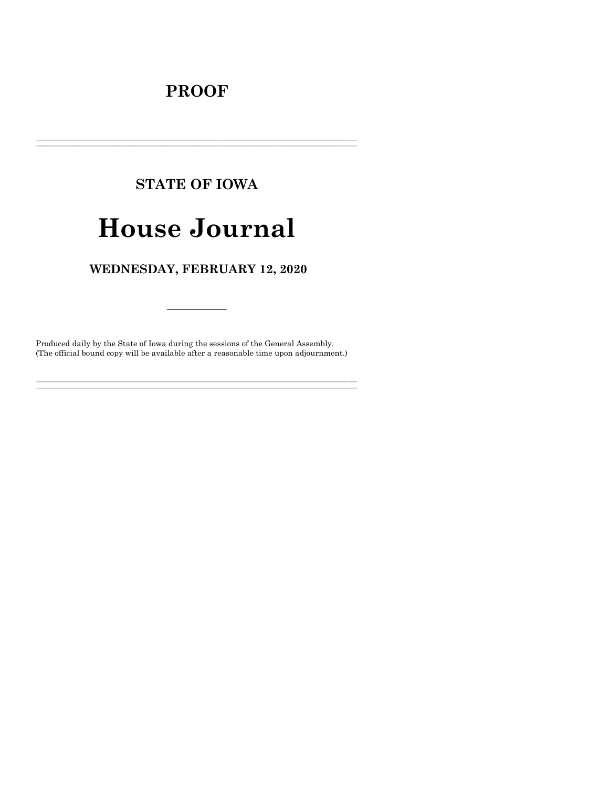## **PROOF**

## **STATE OF IOWA**

# **House Journal**

### WEDNESDAY, FEBRUARY 12, 2020

Produced daily by the State of Iowa during the sessions of the General Assembly. (The official bound copy will be available after a reasonable time upon adjournment.)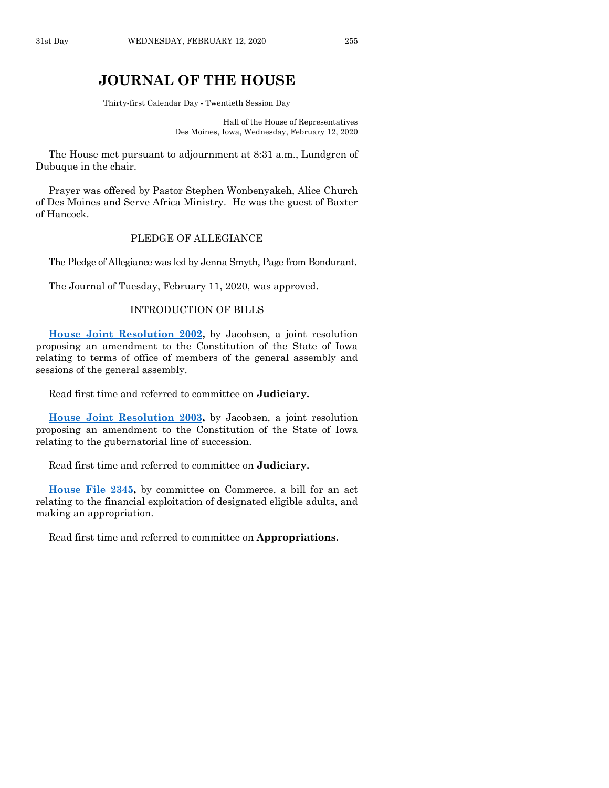### **JOURNAL OF THE HOUSE**

Thirty-first Calendar Day - Twentieth Session Day

Hall of the House of Representatives Des Moines, Iowa, Wednesday, February 12, 2020

The House met pursuant to adjournment at 8:31 a.m., Lundgren of Dubuque in the chair.

Prayer was offered by Pastor Stephen Wonbenyakeh, Alice Church of Des Moines and Serve Africa Ministry. He was the guest of Baxter of Hancock.

#### PLEDGE OF ALLEGIANCE

The Pledge of Allegiance was led by Jenna Smyth, Page from Bondurant.

The Journal of Tuesday, February 11, 2020, was approved.

#### INTRODUCTION OF BILLS

**[House Joint Resolution 2002,](https://www.legis.iowa.gov/legislation/BillBook?ga=88&ba=HJR2002)** by Jacobsen, a joint resolution proposing an amendment to the Constitution of the State of Iowa relating to terms of office of members of the general assembly and sessions of the general assembly.

Read first time and referred to committee on **Judiciary.**

**[House Joint Resolution 2003,](https://www.legis.iowa.gov/legislation/BillBook?ga=88&ba=HJR2003)** by Jacobsen, a joint resolution proposing an amendment to the Constitution of the State of Iowa relating to the gubernatorial line of succession.

Read first time and referred to committee on **Judiciary.**

**[House File 2345,](https://www.legis.iowa.gov/legislation/BillBook?ga=88&ba=HF2345)** by committee on Commerce, a bill for an act relating to the financial exploitation of designated eligible adults, and making an appropriation.

Read first time and referred to committee on **Appropriations.**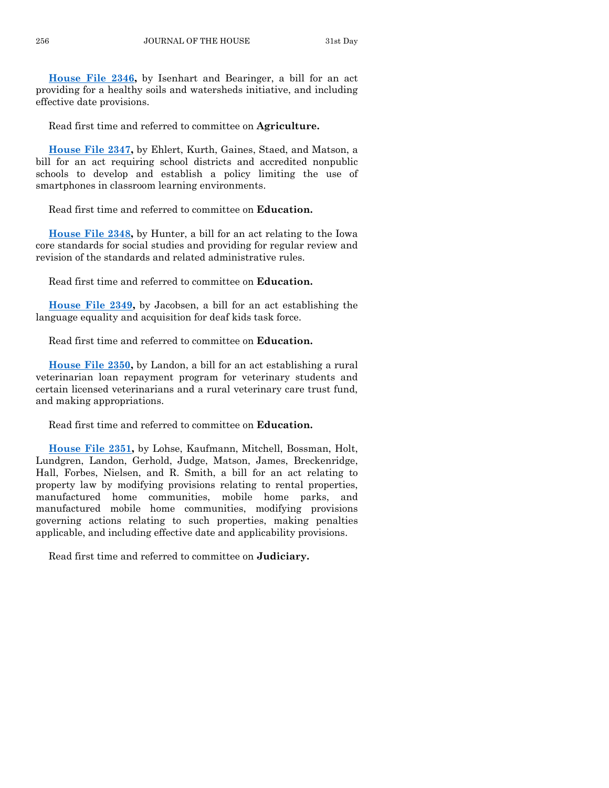**[House File 2346,](https://www.legis.iowa.gov/legislation/BillBook?ga=88&ba=HF2346)** by Isenhart and Bearinger, a bill for an act providing for a healthy soils and watersheds initiative, and including effective date provisions.

Read first time and referred to committee on **Agriculture.**

**[House File 2347,](https://www.legis.iowa.gov/legislation/BillBook?ga=88&ba=HF2347)** by Ehlert, Kurth, Gaines, Staed, and Matson, a bill for an act requiring school districts and accredited nonpublic schools to develop and establish a policy limiting the use of smartphones in classroom learning environments.

Read first time and referred to committee on **Education.**

**[House File 2348,](https://www.legis.iowa.gov/legislation/BillBook?ga=88&ba=HF2348)** by Hunter, a bill for an act relating to the Iowa core standards for social studies and providing for regular review and revision of the standards and related administrative rules.

Read first time and referred to committee on **Education.**

**[House File 2349,](https://www.legis.iowa.gov/legislation/BillBook?ga=88&ba=HF2349)** by Jacobsen, a bill for an act establishing the language equality and acquisition for deaf kids task force.

Read first time and referred to committee on **Education.**

**[House File 2350,](https://www.legis.iowa.gov/legislation/BillBook?ga=88&ba=HF2350)** by Landon, a bill for an act establishing a rural veterinarian loan repayment program for veterinary students and certain licensed veterinarians and a rural veterinary care trust fund, and making appropriations.

Read first time and referred to committee on **Education.**

**[House File 2351,](https://www.legis.iowa.gov/legislation/BillBook?ga=88&ba=HF2351)** by Lohse, Kaufmann, Mitchell, Bossman, Holt, Lundgren, Landon, Gerhold, Judge, Matson, James, Breckenridge, Hall, Forbes, Nielsen, and R. Smith, a bill for an act relating to property law by modifying provisions relating to rental properties, manufactured home communities, mobile home parks, and manufactured mobile home communities, modifying provisions governing actions relating to such properties, making penalties applicable, and including effective date and applicability provisions.

Read first time and referred to committee on **Judiciary.**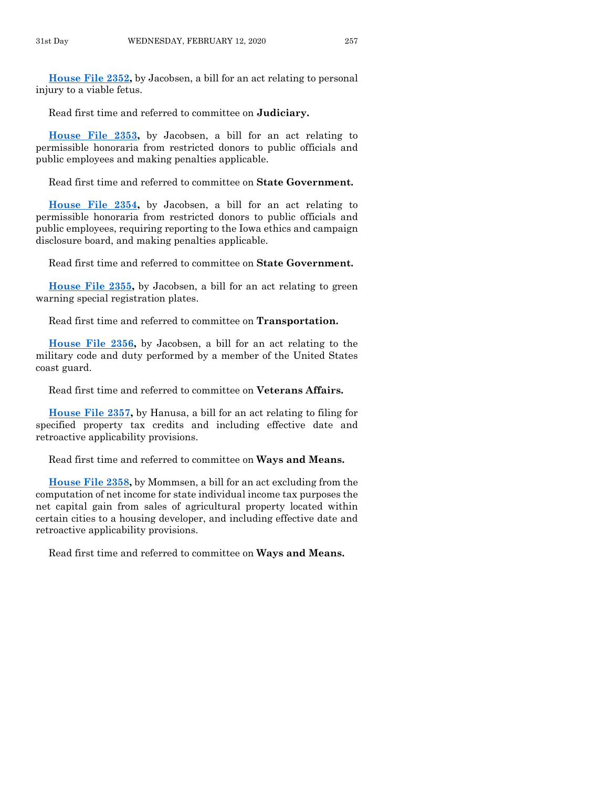**[House File 2352,](https://www.legis.iowa.gov/legislation/BillBook?ga=88&ba=HF2352)** by Jacobsen, a bill for an act relating to personal injury to a viable fetus.

Read first time and referred to committee on **Judiciary.**

**[House File 2353,](https://www.legis.iowa.gov/legislation/BillBook?ga=88&ba=HF2353)** by Jacobsen, a bill for an act relating to permissible honoraria from restricted donors to public officials and public employees and making penalties applicable.

Read first time and referred to committee on **State Government.**

**[House File 2354,](https://www.legis.iowa.gov/legislation/BillBook?ga=88&ba=HF2354)** by Jacobsen, a bill for an act relating to permissible honoraria from restricted donors to public officials and public employees, requiring reporting to the Iowa ethics and campaign disclosure board, and making penalties applicable.

Read first time and referred to committee on **State Government.**

**[House File 2355,](https://www.legis.iowa.gov/legislation/BillBook?ga=88&ba=HF2355)** by Jacobsen, a bill for an act relating to green warning special registration plates.

Read first time and referred to committee on **Transportation.**

**[House File 2356,](https://www.legis.iowa.gov/legislation/BillBook?ga=88&ba=HF2356)** by Jacobsen, a bill for an act relating to the military code and duty performed by a member of the United States coast guard.

Read first time and referred to committee on **Veterans Affairs.**

**[House File 2357,](https://www.legis.iowa.gov/legislation/BillBook?ga=88&ba=HF2357)** by Hanusa, a bill for an act relating to filing for specified property tax credits and including effective date and retroactive applicability provisions.

Read first time and referred to committee on **Ways and Means.**

**[House File 2358,](https://www.legis.iowa.gov/legislation/BillBook?ga=88&ba=HF2358)** by Mommsen, a bill for an act excluding from the computation of net income for state individual income tax purposes the net capital gain from sales of agricultural property located within certain cities to a housing developer, and including effective date and retroactive applicability provisions.

Read first time and referred to committee on **Ways and Means.**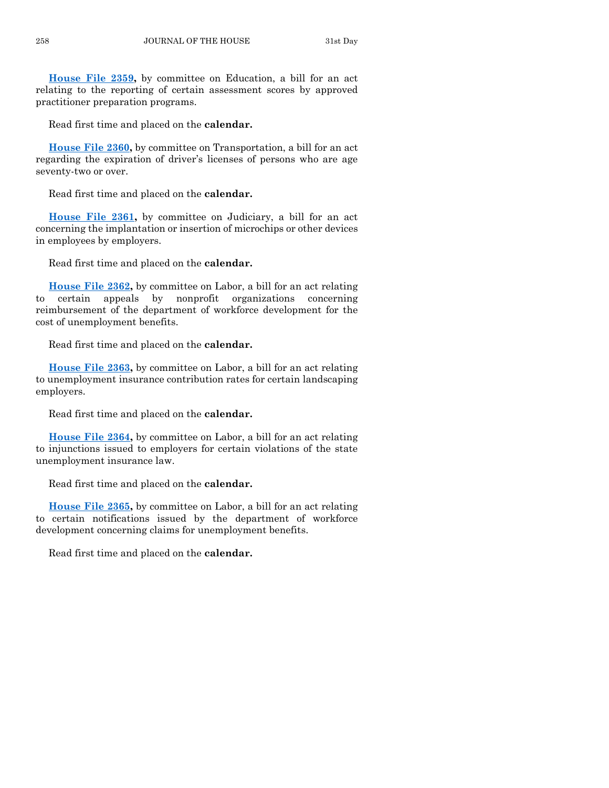**[House File 2359,](https://www.legis.iowa.gov/legislation/BillBook?ga=88&ba=HF2359)** by committee on Education, a bill for an act relating to the reporting of certain assessment scores by approved practitioner preparation programs.

Read first time and placed on the **calendar.**

**[House File 2360,](https://www.legis.iowa.gov/legislation/BillBook?ga=88&ba=HF2360)** by committee on Transportation, a bill for an act regarding the expiration of driver's licenses of persons who are age seventy-two or over.

Read first time and placed on the **calendar.**

**[House File 2361,](https://www.legis.iowa.gov/legislation/BillBook?ga=88&ba=HF2361)** by committee on Judiciary, a bill for an act concerning the implantation or insertion of microchips or other devices in employees by employers.

Read first time and placed on the **calendar.**

**[House File 2362,](https://www.legis.iowa.gov/legislation/BillBook?ga=88&ba=HF2362)** by committee on Labor, a bill for an act relating to certain appeals by nonprofit organizations concerning reimbursement of the department of workforce development for the cost of unemployment benefits.

Read first time and placed on the **calendar.**

**[House File 2363,](https://www.legis.iowa.gov/legislation/BillBook?ga=88&ba=HF2363)** by committee on Labor, a bill for an act relating to unemployment insurance contribution rates for certain landscaping employers.

Read first time and placed on the **calendar.**

**[House File 2364,](https://www.legis.iowa.gov/legislation/BillBook?ga=88&ba=HF2364)** by committee on Labor, a bill for an act relating to injunctions issued to employers for certain violations of the state unemployment insurance law.

Read first time and placed on the **calendar.**

**[House File 2365,](https://www.legis.iowa.gov/legislation/BillBook?ga=88&ba=HF2365)** by committee on Labor, a bill for an act relating to certain notifications issued by the department of workforce development concerning claims for unemployment benefits.

Read first time and placed on the **calendar.**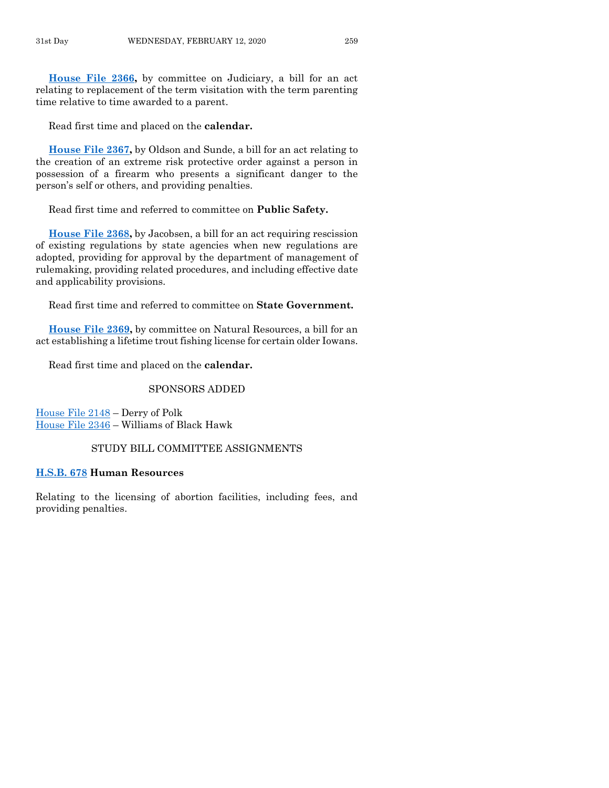**[House File 2366,](https://www.legis.iowa.gov/legislation/BillBook?ga=88&ba=HF2366)** by committee on Judiciary, a bill for an act relating to replacement of the term visitation with the term parenting time relative to time awarded to a parent.

Read first time and placed on the **calendar.**

**[House File 2367,](https://www.legis.iowa.gov/legislation/BillBook?ga=88&ba=HF2367)** by Oldson and Sunde, a bill for an act relating to the creation of an extreme risk protective order against a person in possession of a firearm who presents a significant danger to the person's self or others, and providing penalties.

Read first time and referred to committee on **Public Safety.**

**[House File 2368,](https://www.legis.iowa.gov/legislation/BillBook?ga=88&ba=HF2368)** by Jacobsen, a bill for an act requiring rescission of existing regulations by state agencies when new regulations are adopted, providing for approval by the department of management of rulemaking, providing related procedures, and including effective date and applicability provisions.

Read first time and referred to committee on **State Government.**

**[House File 2369,](https://www.legis.iowa.gov/legislation/BillBook?ga=88&ba=HF2369)** by committee on Natural Resources, a bill for an act establishing a lifetime trout fishing license for certain older Iowans.

Read first time and placed on the **calendar.**

#### SPONSORS ADDED

[House File 2148](https://www.legis.iowa.gov/legislation/BillBook?ga=88&ba=HF2148) – Derry of Polk [House File 2346](https://www.legis.iowa.gov/legislation/BillBook?ga=88&ba=HF2346) – Williams of Black Hawk

#### STUDY BILL COMMITTEE ASSIGNMENTS

#### **[H.S.B. 678](https://www.legis.iowa.gov/legislation/BillBook?ga=88&ba=HSB678) Human Resources**

Relating to the licensing of abortion facilities, including fees, and providing penalties.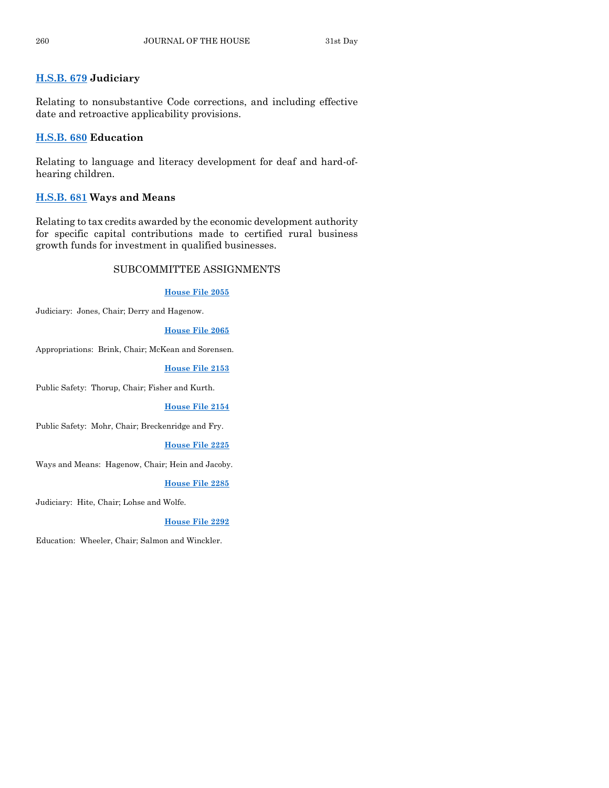#### **[H.S.B. 679](https://www.legis.iowa.gov/legislation/BillBook?ga=88&ba=HSB679) Judiciary**

Relating to nonsubstantive Code corrections, and including effective date and retroactive applicability provisions.

#### **[H.S.B. 680](https://www.legis.iowa.gov/legislation/BillBook?ga=88&ba=HSB680) Education**

Relating to language and literacy development for deaf and hard-ofhearing children.

#### **[H.S.B. 681](https://www.legis.iowa.gov/legislation/BillBook?ga=88&ba=HSB681) Ways and Means**

Relating to tax credits awarded by the economic development authority for specific capital contributions made to certified rural business growth funds for investment in qualified businesses.

#### SUBCOMMITTEE ASSIGNMENTS

#### **[House File 2055](https://www.legis.iowa.gov/legislation/BillBook?ga=88&ba=HF2055)**

Judiciary: Jones, Chair; Derry and Hagenow.

#### **[House File 2065](https://www.legis.iowa.gov/legislation/BillBook?ga=88&ba=HF2065)**

Appropriations: Brink, Chair; McKean and Sorensen.

#### **[House File 2153](https://www.legis.iowa.gov/legislation/BillBook?ga=88&ba=HF2153)**

Public Safety: Thorup, Chair; Fisher and Kurth.

#### **[House File 2154](https://www.legis.iowa.gov/legislation/BillBook?ga=88&ba=HF2154)**

Public Safety: Mohr, Chair; Breckenridge and Fry.

#### **[House File 2225](https://www.legis.iowa.gov/legislation/BillBook?ga=88&ba=HF2225)**

Ways and Means: Hagenow, Chair; Hein and Jacoby.

#### **[House File 2285](https://www.legis.iowa.gov/legislation/BillBook?ga=88&ba=HF2285)**

Judiciary: Hite, Chair; Lohse and Wolfe.

#### **[House File 2292](https://www.legis.iowa.gov/legislation/BillBook?ga=88&ba=HF2292)**

Education: Wheeler, Chair; Salmon and Winckler.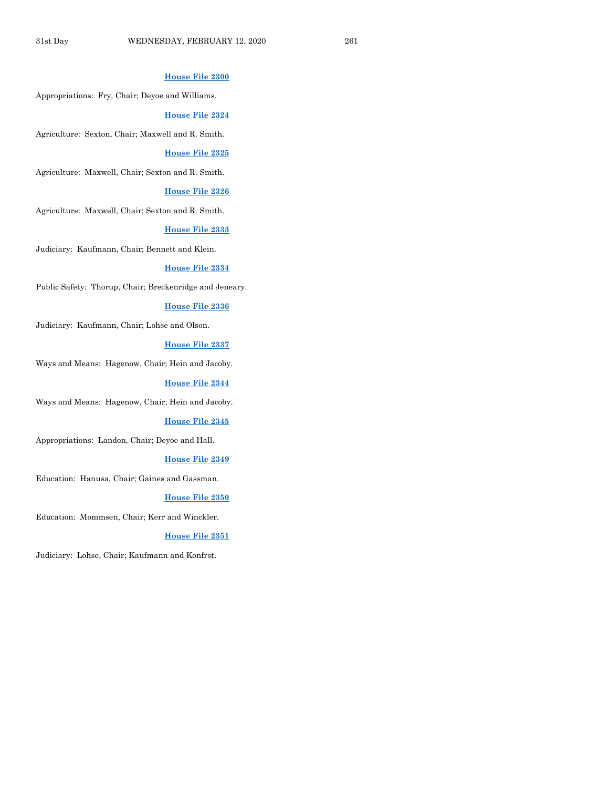#### **[House File 2300](https://www.legis.iowa.gov/legislation/BillBook?ga=88&ba=HF2300)**

Appropriations: Fry, Chair; Deyoe and Williams.

#### **House [File 2324](https://www.legis.iowa.gov/legislation/BillBook?ga=88&ba=HF2324)**

Agriculture: Sexton, Chair; Maxwell and R. Smith.

#### **[House File 2325](https://www.legis.iowa.gov/legislation/BillBook?ga=88&ba=HF2325)**

Agriculture: Maxwell, Chair; Sexton and R. Smith.

#### **[House File 2326](https://www.legis.iowa.gov/legislation/BillBook?ga=88&ba=HF2326)**

Agriculture: Maxwell, Chair; Sexton and R. Smith.

#### **[House File 2333](https://www.legis.iowa.gov/legislation/BillBook?ga=88&ba=HF2333)**

Judiciary: Kaufmann, Chair; Bennett and Klein.

#### **[House File 2334](https://www.legis.iowa.gov/legislation/BillBook?ga=88&ba=HF2334)**

Public Safety: Thorup, Chair; Breckenridge and Jeneary.

#### **[House File 2336](https://www.legis.iowa.gov/legislation/BillBook?ga=88&ba=HF2336)**

Judiciary: Kaufmann, Chair; Lohse and Olson.

#### **[House File 2337](https://www.legis.iowa.gov/legislation/BillBook?ga=88&ba=HF2337)**

Ways and Means: Hagenow, Chair; Hein and Jacoby.

#### **[House File 2344](https://www.legis.iowa.gov/legislation/BillBook?ga=88&ba=HF2344)**

Ways and Means: Hagenow, Chair; Hein and Jacoby.

#### **[House File 2345](https://www.legis.iowa.gov/legislation/BillBook?ga=88&ba=HF2345)**

Appropriations: Landon, Chair; Deyoe and Hall.

#### **[House File 2349](https://www.legis.iowa.gov/legislation/BillBook?ga=88&ba=HF2349)**

Education: Hanusa, Chair; Gaines and Gassman.

#### **[House File 2350](https://www.legis.iowa.gov/legislation/BillBook?ga=88&ba=HF2350)**

Education: Mommsen, Chair; Kerr and Winckler.

#### **[House File 2351](https://www.legis.iowa.gov/legislation/BillBook?ga=88&ba=HF2351)**

Judiciary: Lohse, Chair; Kaufmann and Konfrst.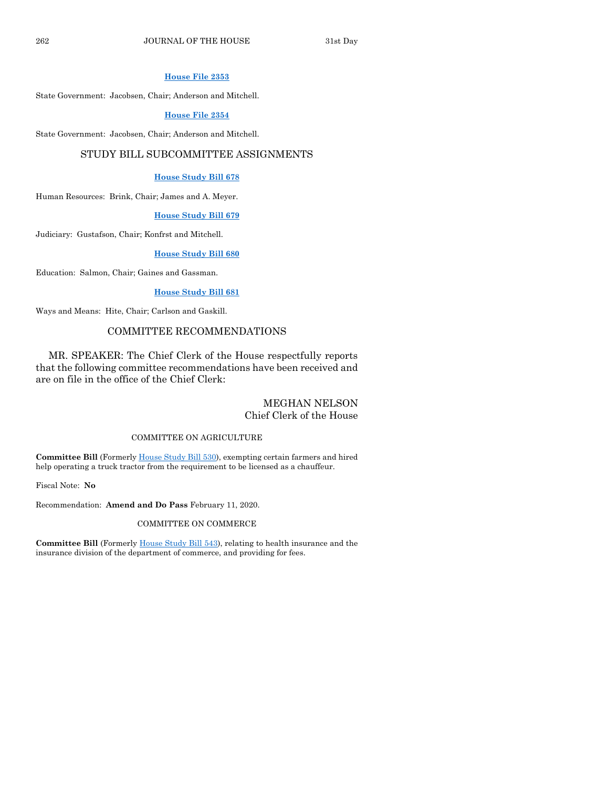#### **[House File 2353](https://www.legis.iowa.gov/legislation/BillBook?ga=88&ba=HF2353)**

State Government: Jacobsen, Chair; Anderson and Mitchell.

#### **[House File 2354](https://www.legis.iowa.gov/legislation/BillBook?ga=88&ba=HF2354)**

State Government: Jacobsen, Chair; Anderson and Mitchell.

#### STUDY BILL SUBCOMMITTEE ASSIGNMENTS

#### **[House Study Bill 678](https://www.legis.iowa.gov/legislation/BillBook?ga=88&ba=HSB678)**

Human Resources: Brink, Chair; James and A. Meyer.

#### **[House Study Bill 679](https://www.legis.iowa.gov/legislation/BillBook?ga=88&ba=HSB679)**

Judiciary: Gustafson, Chair; Konfrst and Mitchell.

#### **[House Study Bill 680](https://www.legis.iowa.gov/legislation/BillBook?ga=88&ba=HSB680)**

Education: Salmon, Chair; Gaines and Gassman.

#### **[House Study Bill 681](https://www.legis.iowa.gov/legislation/BillBook?ga=88&ba=HSB681)**

Ways and Means: Hite, Chair; Carlson and Gaskill.

#### COMMITTEE RECOMMENDATIONS

MR. SPEAKER: The Chief Clerk of the House respectfully reports that the following committee recommendations have been received and are on file in the office of the Chief Clerk:

#### MEGHAN NELSON Chief Clerk of the House

#### COMMITTEE ON AGRICULTURE

**Committee Bill** (Formerl[y House Study Bill 530\)](https://www.legis.iowa.gov/legislation/BillBook?ga=88&ba=HSB530), exempting certain farmers and hired help operating a truck tractor from the requirement to be licensed as a chauffeur.

Fiscal Note: **No**

Recommendation: **Amend and Do Pass** February 11, 2020.

#### COMMITTEE ON COMMERCE

**Committee Bill** (Formerly [House Study Bill 543\)](https://www.legis.iowa.gov/legislation/BillBook?ga=88&ba=HSB543), relating to health insurance and the insurance division of the department of commerce, and providing for fees.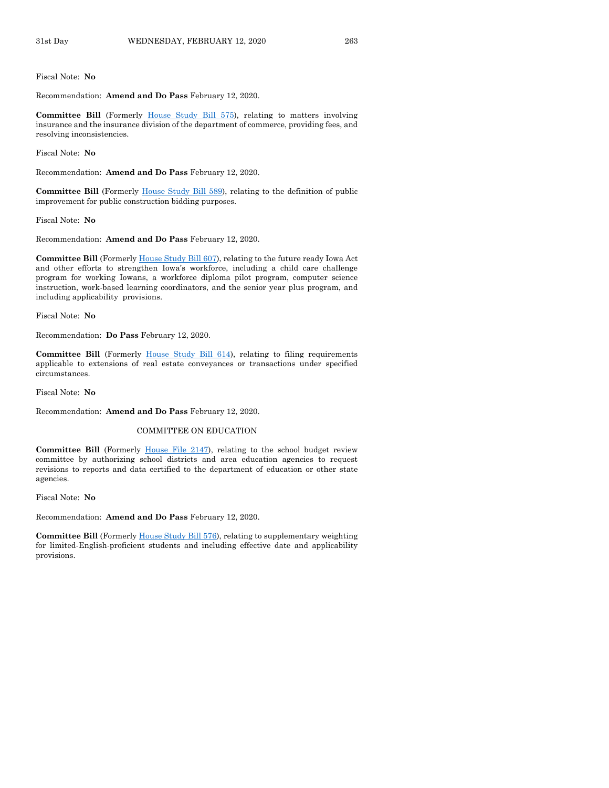#### Fiscal Note: **No**

Recommendation: **Amend and Do Pass** February 12, 2020.

**Committee Bill** (Formerly [House Study Bill 575\)](https://www.legis.iowa.gov/legislation/BillBook?ga=88&ba=HSB575), relating to matters involving insurance and the insurance division of the department of commerce, providing fees, and resolving inconsistencies.

Fiscal Note: **No**

Recommendation: **Amend and Do Pass** February 12, 2020.

**Committee Bill** (Formerly [House Study Bill 589\)](https://www.legis.iowa.gov/legislation/BillBook?ga=88&ba=HSB589), relating to the definition of public improvement for public construction bidding purposes.

Fiscal Note: **No**

Recommendation: **Amend and Do Pass** February 12, 2020.

**Committee Bill** (Formerl[y House Study Bill 607\)](https://www.legis.iowa.gov/legislation/BillBook?ga=88&ba=HSB607), relating to the future ready Iowa Act and other efforts to strengthen Iowa's workforce, including a child care challenge program for working Iowans, a workforce diploma pilot program, computer science instruction, work-based learning coordinators, and the senior year plus program, and including applicability provisions.

Fiscal Note: **No**

Recommendation: **Do Pass** February 12, 2020.

**Committee Bill** (Formerly [House Study Bill 614\)](https://www.legis.iowa.gov/legislation/BillBook?ga=88&ba=HSB614), relating to filing requirements applicable to extensions of real estate conveyances or transactions under specified circumstances.

Fiscal Note: **No**

Recommendation: **Amend and Do Pass** February 12, 2020.

#### COMMITTEE ON EDUCATION

Committee Bill (Formerly [House File 2147\)](https://www.legis.iowa.gov/legislation/BillBook?ga=88&ba=HF2147), relating to the school budget review committee by authorizing school districts and area education agencies to request revisions to reports and data certified to the department of education or other state agencies.

Fiscal Note: **No**

Recommendation: **Amend and Do Pass** February 12, 2020.

**Committee Bill** (Formerl[y House Study Bill 576\)](https://www.legis.iowa.gov/legislation/BillBook?ga=88&ba=HSB576), relating to supplementary weighting for limited-English-proficient students and including effective date and applicability provisions.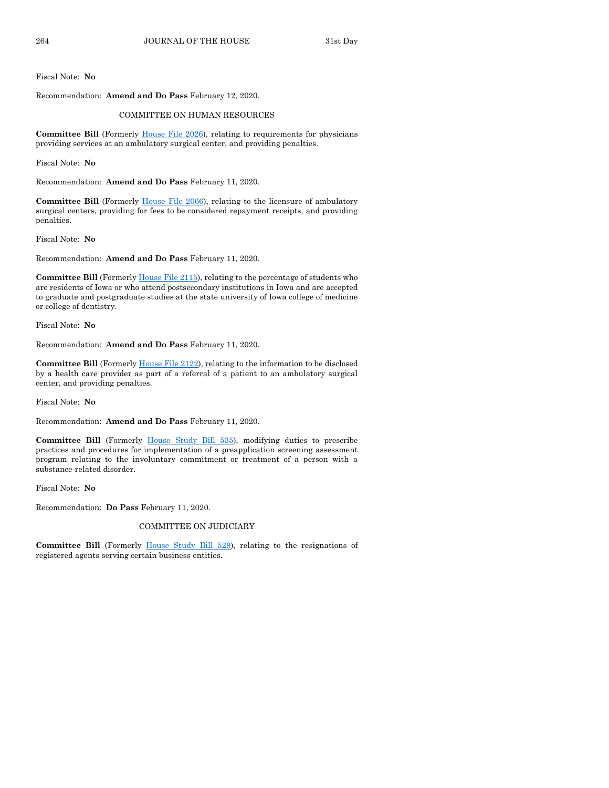Fiscal Note: **No**

Recommendation: **Amend and Do Pass** February 12, 2020.

#### COMMITTEE ON HUMAN RESOURCES

**Committee Bill** (Formerly [House File 2026\),](https://www.legis.iowa.gov/legislation/BillBook?ga=88&ba=HF2026) relating to requirements for physicians providing services at an ambulatory surgical center, and providing penalties.

Fiscal Note: **No**

Recommendation: **Amend and Do Pass** February 11, 2020.

**Committee Bill** (Formerly [House File 2066\)](https://www.legis.iowa.gov/legislation/BillBook?ga=88&ba=HF2066), relating to the licensure of ambulatory surgical centers, providing for fees to be considered repayment receipts, and providing penalties.

Fiscal Note: **No**

Recommendation: **Amend and Do Pass** February 11, 2020.

**Committee Bill** (Formerl[y House File 2115\)](https://www.legis.iowa.gov/legislation/BillBook?ga=88&ba=HF2115), relating to the percentage of students who are residents of Iowa or who attend postsecondary institutions in Iowa and are accepted to graduate and postgraduate studies at the state university of Iowa college of medicine or college of dentistry.

Fiscal Note: **No**

Recommendation: **Amend and Do Pass** February 11, 2020.

**Committee Bill** (Formerly [House File 2122\)](https://www.legis.iowa.gov/legislation/BillBook?ga=88&ba=HF2122), relating to the information to be disclosed by a health care provider as part of a referral of a patient to an ambulatory surgical center, and providing penalties.

Fiscal Note: **No**

Recommendation: **Amend and Do Pass** February 11, 2020.

**Committee Bill** (Formerly [House Study Bill 535\)](https://www.legis.iowa.gov/legislation/BillBook?ga=88&ba=HSB535), modifying duties to prescribe practices and procedures for implementation of a preapplication screening assessment program relating to the involuntary commitment or treatment of a person with a substance-related disorder.

Fiscal Note: **No**

Recommendation: **Do Pass** February 11, 2020.

#### COMMITTEE ON JUDICIARY

**Committee Bill** (Formerly [House Study Bill 529\)](https://www.legis.iowa.gov/legislation/BillBook?ga=88&ba=HSB529), relating to the resignations of registered agents serving certain business entities.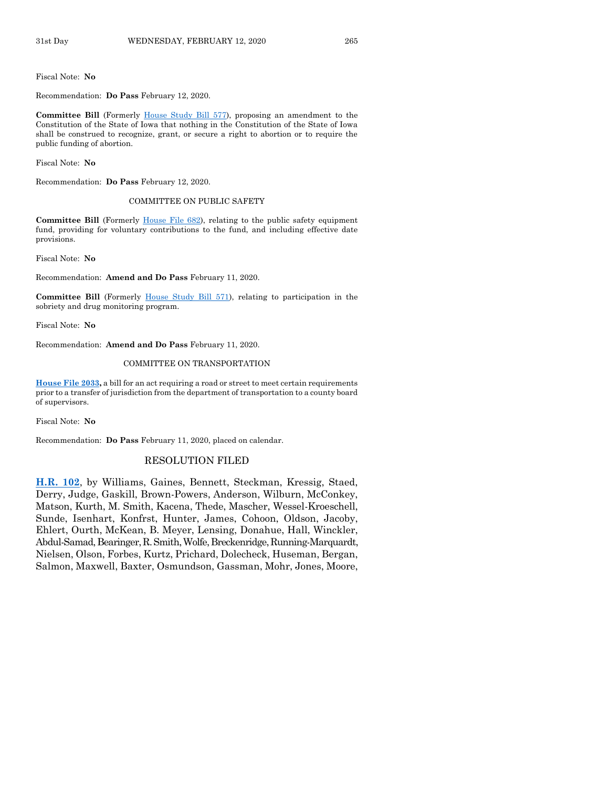Fiscal Note: **No**

#### Recommendation: **Do Pass** February 12, 2020.

**Committee Bill** (Formerly [House Study Bill 577\)](https://www.legis.iowa.gov/legislation/BillBook?ga=88&ba=HSB577), proposing an amendment to the Constitution of the State of Iowa that nothing in the Constitution of the State of Iowa shall be construed to recognize, grant, or secure a right to abortion or to require the public funding of abortion.

Fiscal Note: **No**

Recommendation: **Do Pass** February 12, 2020.

#### COMMITTEE ON PUBLIC SAFETY

**Committee Bill** (Formerly [House File 682\)](https://www.legis.iowa.gov/legislation/BillBook?ga=88&ba=HF682), relating to the public safety equipment fund, providing for voluntary contributions to the fund, and including effective date provisions.

Fiscal Note: **No**

Recommendation: **Amend and Do Pass** February 11, 2020.

**Committee Bill** (Formerly [House Study Bill 571\)](https://www.legis.iowa.gov/legislation/BillBook?ga=88&ba=HSB571), relating to participation in the sobriety and drug monitoring program.

Fiscal Note: **No**

Recommendation: **Amend and Do Pass** February 11, 2020.

#### COMMITTEE ON TRANSPORTATION

**[House File 2033,](https://www.legis.iowa.gov/legislation/BillBook?ga=88&ba=HF2033)** a bill for an act requiring a road or street to meet certain requirements prior to a transfer of jurisdiction from the department of transportation to a county board of supervisors.

Fiscal Note: **No**

Recommendation: **Do Pass** February 11, 2020, placed on calendar.

#### RESOLUTION FILED

**[H.R. 102](https://www.legis.iowa.gov/legislation/BillBook?ga=88&ba=HR102)**, by Williams, Gaines, Bennett, Steckman, Kressig, Staed, Derry, Judge, Gaskill, Brown-Powers, Anderson, Wilburn, McConkey, Matson, Kurth, M. Smith, Kacena, Thede, Mascher, Wessel-Kroeschell, Sunde, Isenhart, Konfrst, Hunter, James, Cohoon, Oldson, Jacoby, Ehlert, Ourth, McKean, B. Meyer, Lensing, Donahue, Hall, Winckler, Abdul-Samad, Bearinger, R. Smith, Wolfe, Breckenridge, Running-Marquardt, Nielsen, Olson, Forbes, Kurtz, Prichard, Dolecheck, Huseman, Bergan, Salmon, Maxwell, Baxter, Osmundson, Gassman, Mohr, Jones, Moore,